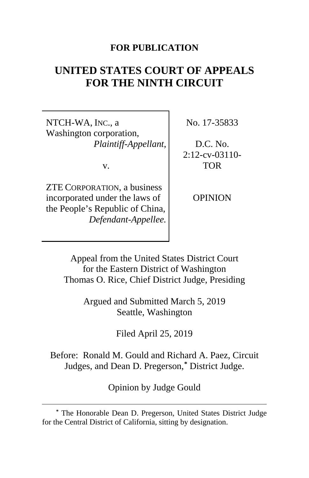## **FOR PUBLICATION**

# **UNITED STATES COURT OF APPEALS FOR THE NINTH CIRCUIT**

NTCH-WA, INC., a Washington corporation, *Plaintiff-Appellant*,

v.

ZTE CORPORATION, a business incorporated under the laws of the People's Republic of China, *Defendant-Appellee.*

 $\overline{a}$ 

No. 17-35833

D.C. No. 2:12-cv-03110- TOR

OPINION

Appeal from the United States District Court for the Eastern District of Washington Thomas O. Rice, Chief District Judge, Presiding

> Argued and Submitted March 5, 2019 Seattle, Washington

> > Filed April 25, 2019

Before: Ronald M. Gould and Richard A. Paez, Circuit Judges, and Dean D. Pregerson,**[\\*](#page-0-0)** District Judge.

Opinion by Judge Gould

<span id="page-0-0"></span>**<sup>\*</sup>** The Honorable Dean D. Pregerson, United States District Judge for the Central District of California, sitting by designation.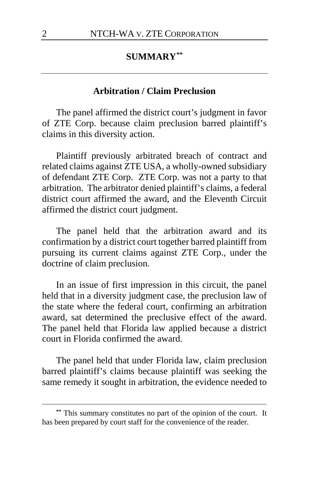## **SUMMARY[\\*\\*](#page-1-0)**

## **Arbitration / Claim Preclusion**

The panel affirmed the district court's judgment in favor of ZTE Corp. because claim preclusion barred plaintiff's claims in this diversity action.

Plaintiff previously arbitrated breach of contract and related claims against ZTE USA, a wholly-owned subsidiary of defendant ZTE Corp. ZTE Corp. was not a party to that arbitration. The arbitrator denied plaintiff's claims, a federal district court affirmed the award, and the Eleventh Circuit affirmed the district court judgment.

The panel held that the arbitration award and its confirmation by a district court together barred plaintiff from pursuing its current claims against ZTE Corp., under the doctrine of claim preclusion.

In an issue of first impression in this circuit, the panel held that in a diversity judgment case, the preclusion law of the state where the federal court, confirming an arbitration award, sat determined the preclusive effect of the award. The panel held that Florida law applied because a district court in Florida confirmed the award.

The panel held that under Florida law, claim preclusion barred plaintiff's claims because plaintiff was seeking the same remedy it sought in arbitration, the evidence needed to

<span id="page-1-0"></span>**<sup>\*\*</sup>** This summary constitutes no part of the opinion of the court. It has been prepared by court staff for the convenience of the reader.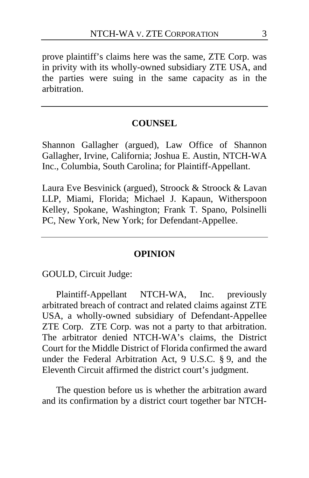prove plaintiff's claims here was the same, ZTE Corp. was in privity with its wholly-owned subsidiary ZTE USA, and the parties were suing in the same capacity as in the arbitration.

## **COUNSEL**

Shannon Gallagher (argued), Law Office of Shannon Gallagher, Irvine, California; Joshua E. Austin, NTCH-WA Inc., Columbia, South Carolina; for Plaintiff-Appellant.

Laura Eve Besvinick (argued), Stroock & Stroock & Lavan LLP, Miami, Florida; Michael J. Kapaun, Witherspoon Kelley, Spokane, Washington; Frank T. Spano, Polsinelli PC, New York, New York; for Defendant-Appellee.

#### **OPINION**

GOULD, Circuit Judge:

Plaintiff-Appellant NTCH-WA, Inc. previously arbitrated breach of contract and related claims against ZTE USA, a wholly-owned subsidiary of Defendant-Appellee ZTE Corp. ZTE Corp. was not a party to that arbitration. The arbitrator denied NTCH-WA's claims, the District Court for the Middle District of Florida confirmed the award under the Federal Arbitration Act, 9 U.S.C. § 9, and the Eleventh Circuit affirmed the district court's judgment.

The question before us is whether the arbitration award and its confirmation by a district court together bar NTCH-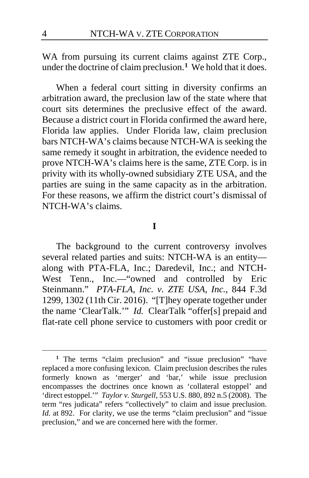WA from pursuing its current claims against ZTE Corp., under the doctrine of claim preclusion.**[1](#page-3-0)** We hold that it does.

When a federal court sitting in diversity confirms an arbitration award, the preclusion law of the state where that court sits determines the preclusive effect of the award. Because a district court in Florida confirmed the award here, Florida law applies. Under Florida law, claim preclusion bars NTCH-WA's claims because NTCH-WA is seeking the same remedy it sought in arbitration, the evidence needed to prove NTCH-WA's claims here is the same, ZTE Corp. is in privity with its wholly-owned subsidiary ZTE USA, and the parties are suing in the same capacity as in the arbitration. For these reasons, we affirm the district court's dismissal of NTCH-WA's claims.

## **I**

The background to the current controversy involves several related parties and suits: NTCH-WA is an entity along with PTA-FLA, Inc.; Daredevil, Inc.; and NTCH-West Tenn., Inc.—"owned and controlled by Eric Steinmann." *PTA-FLA, Inc. v. ZTE USA, Inc.*, 844 F.3d 1299, 1302 (11th Cir. 2016). "[T]hey operate together under the name 'ClearTalk.'" *Id.* ClearTalk "offer[s] prepaid and flat-rate cell phone service to customers with poor credit or

<span id="page-3-0"></span><sup>&</sup>lt;sup>1</sup> The terms "claim preclusion" and "issue preclusion" "have replaced a more confusing lexicon. Claim preclusion describes the rules formerly known as 'merger' and 'bar,' while issue preclusion encompasses the doctrines once known as 'collateral estoppel' and 'direct estoppel.'" *Taylor v. Sturgell*, 553 U.S. 880, 892 n.5 (2008). The term "res judicata" refers "collectively" to claim and issue preclusion. *Id.* at 892. For clarity, we use the terms "claim preclusion" and "issue preclusion," and we are concerned here with the former.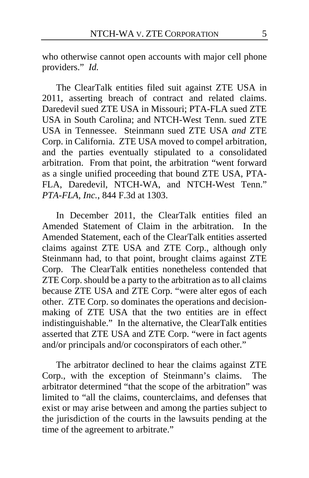who otherwise cannot open accounts with major cell phone providers." *Id.*

The ClearTalk entities filed suit against ZTE USA in 2011, asserting breach of contract and related claims. Daredevil sued ZTE USA in Missouri; PTA-FLA sued ZTE USA in South Carolina; and NTCH-West Tenn. sued ZTE USA in Tennessee. Steinmann sued ZTE USA *and* ZTE Corp. in California. ZTE USA moved to compel arbitration, and the parties eventually stipulated to a consolidated arbitration. From that point, the arbitration "went forward as a single unified proceeding that bound ZTE USA, PTA-FLA, Daredevil, NTCH-WA, and NTCH-West Tenn." *PTA-FLA, Inc.*, 844 F.3d at 1303.

In December 2011, the ClearTalk entities filed an Amended Statement of Claim in the arbitration. In the Amended Statement, each of the ClearTalk entities asserted claims against ZTE USA and ZTE Corp., although only Steinmann had, to that point, brought claims against ZTE Corp. The ClearTalk entities nonetheless contended that ZTE Corp. should be a party to the arbitration as to all claims because ZTE USA and ZTE Corp. "were alter egos of each other. ZTE Corp. so dominates the operations and decisionmaking of ZTE USA that the two entities are in effect indistinguishable." In the alternative, the ClearTalk entities asserted that ZTE USA and ZTE Corp. "were in fact agents and/or principals and/or coconspirators of each other."

The arbitrator declined to hear the claims against ZTE Corp., with the exception of Steinmann's claims. The arbitrator determined "that the scope of the arbitration" was limited to "all the claims, counterclaims, and defenses that exist or may arise between and among the parties subject to the jurisdiction of the courts in the lawsuits pending at the time of the agreement to arbitrate."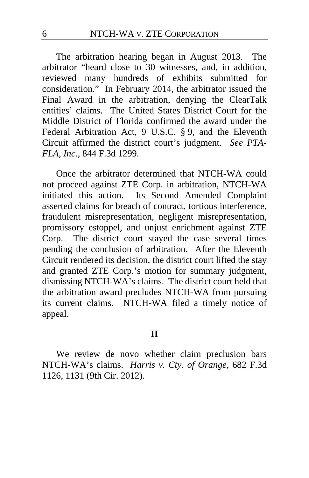The arbitration hearing began in August 2013. The arbitrator "heard close to 30 witnesses, and, in addition, reviewed many hundreds of exhibits submitted for consideration." In February 2014, the arbitrator issued the Final Award in the arbitration, denying the ClearTalk entities' claims. The United States District Court for the Middle District of Florida confirmed the award under the Federal Arbitration Act, 9 U.S.C. § 9, and the Eleventh Circuit affirmed the district court's judgment. *See PTA-FLA, Inc.*, 844 F.3d 1299.

Once the arbitrator determined that NTCH-WA could not proceed against ZTE Corp. in arbitration, NTCH-WA initiated this action. Its Second Amended Complaint asserted claims for breach of contract, tortious interference, fraudulent misrepresentation, negligent misrepresentation, promissory estoppel, and unjust enrichment against ZTE Corp. The district court stayed the case several times pending the conclusion of arbitration. After the Eleventh Circuit rendered its decision, the district court lifted the stay and granted ZTE Corp.'s motion for summary judgment, dismissing NTCH-WA's claims. The district court held that the arbitration award precludes NTCH-WA from pursuing its current claims. NTCH-WA filed a timely notice of appeal.

We review de novo whether claim preclusion bars NTCH-WA's claims. *Harris v. Cty. of Orange*, 682 F.3d 1126, 1131 (9th Cir. 2012).

**II**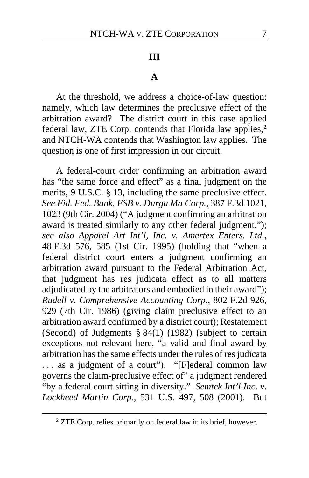#### **III**

#### **A**

At the threshold, we address a choice-of-law question: namely, which law determines the preclusive effect of the arbitration award? The district court in this case applied federal law, ZTE Corp. contends that Florida law applies,**[2](#page-6-0)** and NTCH-WA contends that Washington law applies. The question is one of first impression in our circuit.

A federal-court order confirming an arbitration award has "the same force and effect" as a final judgment on the merits, 9 U.S.C. § 13, including the same preclusive effect. *See Fid. Fed. Bank, FSB v. Durga Ma Corp.*, 387 F.3d 1021, 1023 (9th Cir. 2004) ("A judgment confirming an arbitration award is treated similarly to any other federal judgment."); *see also Apparel Art Int'l, Inc. v. Amertex Enters. Ltd.*, 48 F.3d 576, 585 (1st Cir. 1995) (holding that "when a federal district court enters a judgment confirming an arbitration award pursuant to the Federal Arbitration Act, that judgment has res judicata effect as to all matters adjudicated by the arbitrators and embodied in their award"); *Rudell v. Comprehensive Accounting Corp.*, 802 F.2d 926, 929 (7th Cir. 1986) (giving claim preclusive effect to an arbitration award confirmed by a district court); Restatement (Second) of Judgments § 84(1) (1982) (subject to certain exceptions not relevant here, "a valid and final award by arbitration has the same effects under the rules of res judicata . . . as a judgment of a court"). "[F]ederal common law governs the claim-preclusive effect of" a judgment rendered "by a federal court sitting in diversity." *Semtek Int'l Inc. v. Lockheed Martin Corp.*, 531 U.S. 497, 508 (2001). But

<span id="page-6-0"></span>**<sup>2</sup>** ZTE Corp. relies primarily on federal law in its brief, however.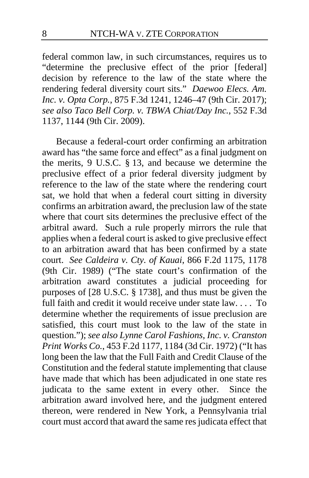federal common law, in such circumstances, requires us to "determine the preclusive effect of the prior [federal] decision by reference to the law of the state where the rendering federal diversity court sits." *Daewoo Elecs. Am. Inc. v. Opta Corp.*, 875 F.3d 1241, 1246–47 (9th Cir. 2017); *see also Taco Bell Corp. v. TBWA Chiat/Day Inc.*, 552 F.3d 1137, 1144 (9th Cir. 2009).

Because a federal-court order confirming an arbitration award has "the same force and effect" as a final judgment on the merits, 9 U.S.C. § 13, and because we determine the preclusive effect of a prior federal diversity judgment by reference to the law of the state where the rendering court sat, we hold that when a federal court sitting in diversity confirms an arbitration award, the preclusion law of the state where that court sits determines the preclusive effect of the arbitral award. Such a rule properly mirrors the rule that applies when a federal court is asked to give preclusive effect to an arbitration award that has been confirmed by a state court. *See Caldeira v. Cty. of Kauai*, 866 F.2d 1175, 1178 (9th Cir. 1989) ("The state court's confirmation of the arbitration award constitutes a judicial proceeding for purposes of [28 U.S.C. § 1738], and thus must be given the full faith and credit it would receive under state law. . . . To determine whether the requirements of issue preclusion are satisfied, this court must look to the law of the state in question."); *see also Lynne Carol Fashions, Inc. v. Cranston Print Works Co.*, 453 F.2d 1177, 1184 (3d Cir. 1972) ("It has long been the law that the Full Faith and Credit Clause of the Constitution and the federal statute implementing that clause have made that which has been adjudicated in one state res judicata to the same extent in every other. Since the arbitration award involved here, and the judgment entered thereon, were rendered in New York, a Pennsylvania trial court must accord that award the same res judicata effect that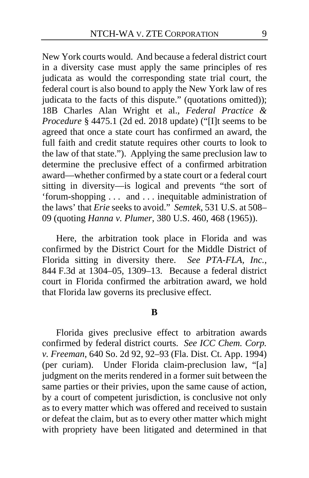New York courts would. And because a federal district court in a diversity case must apply the same principles of res judicata as would the corresponding state trial court, the federal court is also bound to apply the New York law of res judicata to the facts of this dispute." (quotations omitted)); 18B Charles Alan Wright et al., *Federal Practice & Procedure* § 4475.1 (2d ed. 2018 update) ("[I]t seems to be agreed that once a state court has confirmed an award, the full faith and credit statute requires other courts to look to the law of that state."). Applying the same preclusion law to determine the preclusive effect of a confirmed arbitration award—whether confirmed by a state court or a federal court sitting in diversity—is logical and prevents "the sort of 'forum-shopping . . . and . . . inequitable administration of the laws' that *Erie* seeks to avoid." *Semtek*, 531 U.S. at 508– 09 (quoting *Hanna v. Plumer*, 380 U.S. 460, 468 (1965)).

Here, the arbitration took place in Florida and was confirmed by the District Court for the Middle District of Florida sitting in diversity there. *See PTA-FLA, Inc.*, 844 F.3d at 1304–05, 1309–13. Because a federal district court in Florida confirmed the arbitration award, we hold that Florida law governs its preclusive effect.

#### **B**

Florida gives preclusive effect to arbitration awards confirmed by federal district courts. *See ICC Chem. Corp. v. Freeman*, 640 So. 2d 92, 92–93 (Fla. Dist. Ct. App. 1994) (per curiam). Under Florida claim-preclusion law, "[a] judgment on the merits rendered in a former suit between the same parties or their privies, upon the same cause of action, by a court of competent jurisdiction, is conclusive not only as to every matter which was offered and received to sustain or defeat the claim, but as to every other matter which might with propriety have been litigated and determined in that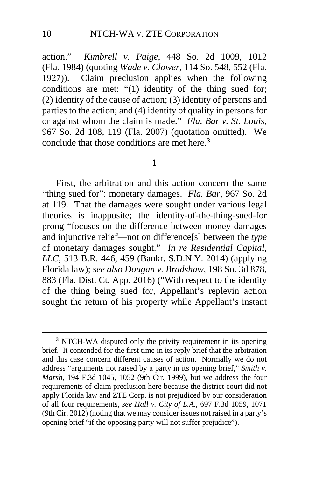action." *Kimbrell v. Paige*, 448 So. 2d 1009, 1012 (Fla. 1984) (quoting *Wade v. Clower*, 114 So. 548, 552 (Fla. 1927)). Claim preclusion applies when the following conditions are met: "(1) identity of the thing sued for; (2) identity of the cause of action; (3) identity of persons and parties to the action; and (4) identity of quality in persons for or against whom the claim is made." *Fla. Bar v. St. Louis*, 967 So. 2d 108, 119 (Fla. 2007) (quotation omitted). We conclude that those conditions are met here.**[3](#page-9-0)**

#### **1**

First, the arbitration and this action concern the same "thing sued for": monetary damages. *Fla. Bar*, 967 So. 2d at 119. That the damages were sought under various legal theories is inapposite; the identity-of-the-thing-sued-for prong "focuses on the difference between money damages and injunctive relief—not on difference[s] between the *type* of monetary damages sought." *In re Residential Capital, LLC*, 513 B.R. 446, 459 (Bankr. S.D.N.Y. 2014) (applying Florida law); *see also Dougan v. Bradshaw*, 198 So. 3d 878, 883 (Fla. Dist. Ct. App. 2016) ("With respect to the identity of the thing being sued for, Appellant's replevin action sought the return of his property while Appellant's instant

<span id="page-9-0"></span>**<sup>3</sup>** NTCH-WA disputed only the privity requirement in its opening brief. It contended for the first time in its reply brief that the arbitration and this case concern different causes of action. Normally we do not address "arguments not raised by a party in its opening brief," *Smith v. Marsh*, 194 F.3d 1045, 1052 (9th Cir. 1999), but we address the four requirements of claim preclusion here because the district court did not apply Florida law and ZTE Corp. is not prejudiced by our consideration of all four requirements, *see Hall v. City of L.A.*, 697 F.3d 1059, 1071 (9th Cir. 2012) (noting that we may consider issues not raised in a party's opening brief "if the opposing party will not suffer prejudice").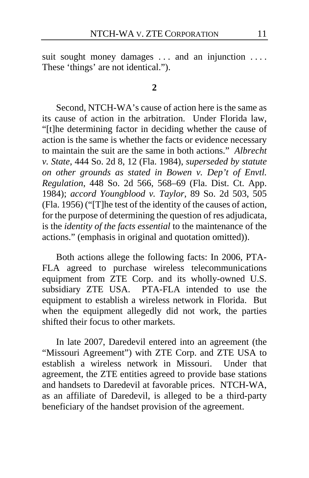suit sought money damages ... and an injunction .... These 'things' are not identical.").

#### **2**

Second, NTCH-WA's cause of action here is the same as its cause of action in the arbitration. Under Florida law, "[t]he determining factor in deciding whether the cause of action is the same is whether the facts or evidence necessary to maintain the suit are the same in both actions." *Albrecht v. State*, 444 So. 2d 8, 12 (Fla. 1984), *superseded by statute on other grounds as stated in Bowen v. Dep't of Envtl. Regulation*, 448 So. 2d 566, 568–69 (Fla. Dist. Ct. App. 1984); *accord Youngblood v. Taylor*, 89 So. 2d 503, 505 (Fla. 1956) ("[T]he test of the identity of the causes of action, for the purpose of determining the question of res adjudicata, is the *identity of the facts essential* to the maintenance of the actions." (emphasis in original and quotation omitted)).

Both actions allege the following facts: In 2006, PTA-FLA agreed to purchase wireless telecommunications equipment from ZTE Corp. and its wholly-owned U.S. subsidiary ZTE USA. PTA-FLA intended to use the equipment to establish a wireless network in Florida. But when the equipment allegedly did not work, the parties shifted their focus to other markets.

In late 2007, Daredevil entered into an agreement (the "Missouri Agreement") with ZTE Corp. and ZTE USA to establish a wireless network in Missouri. Under that agreement, the ZTE entities agreed to provide base stations and handsets to Daredevil at favorable prices. NTCH-WA, as an affiliate of Daredevil, is alleged to be a third-party beneficiary of the handset provision of the agreement.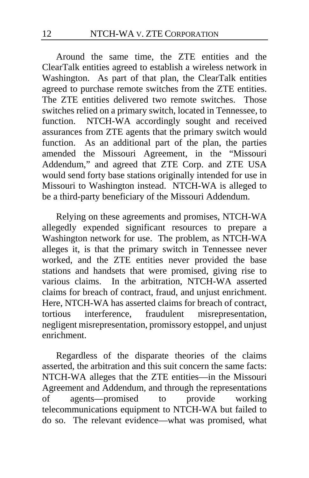Around the same time, the ZTE entities and the ClearTalk entities agreed to establish a wireless network in Washington. As part of that plan, the ClearTalk entities agreed to purchase remote switches from the ZTE entities. The ZTE entities delivered two remote switches. Those switches relied on a primary switch, located in Tennessee, to function. NTCH-WA accordingly sought and received assurances from ZTE agents that the primary switch would function. As an additional part of the plan, the parties amended the Missouri Agreement, in the "Missouri Addendum," and agreed that ZTE Corp. and ZTE USA would send forty base stations originally intended for use in Missouri to Washington instead. NTCH-WA is alleged to be a third-party beneficiary of the Missouri Addendum.

Relying on these agreements and promises, NTCH-WA allegedly expended significant resources to prepare a Washington network for use. The problem, as NTCH-WA alleges it, is that the primary switch in Tennessee never worked, and the ZTE entities never provided the base stations and handsets that were promised, giving rise to various claims. In the arbitration, NTCH-WA asserted claims for breach of contract, fraud, and unjust enrichment. Here, NTCH-WA has asserted claims for breach of contract, tortious interference, fraudulent misrepresentation, tortious interference, fraudulent misrepresentation, negligent misrepresentation, promissory estoppel, and unjust enrichment.

Regardless of the disparate theories of the claims asserted, the arbitration and this suit concern the same facts: NTCH-WA alleges that the ZTE entities—in the Missouri Agreement and Addendum, and through the representations of agents—promised to provide working telecommunications equipment to NTCH-WA but failed to do so. The relevant evidence—what was promised, what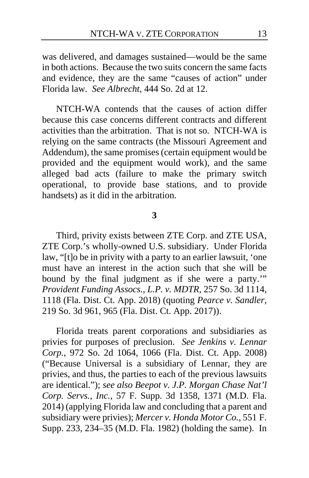was delivered, and damages sustained—would be the same in both actions. Because the two suits concern the same facts and evidence, they are the same "causes of action" under Florida law. *See Albrecht*, 444 So. 2d at 12.

NTCH-WA contends that the causes of action differ because this case concerns different contracts and different activities than the arbitration. That is not so. NTCH-WA is relying on the same contracts (the Missouri Agreement and Addendum), the same promises (certain equipment would be provided and the equipment would work), and the same alleged bad acts (failure to make the primary switch operational, to provide base stations, and to provide handsets) as it did in the arbitration.

#### **3**

Third, privity exists between ZTE Corp. and ZTE USA, ZTE Corp.'s wholly-owned U.S. subsidiary. Under Florida law, "[t]o be in privity with a party to an earlier lawsuit, 'one must have an interest in the action such that she will be bound by the final judgment as if she were a party.'" *Provident Funding Assocs., L.P. v. MDTR*, 257 So. 3d 1114, 1118 (Fla. Dist. Ct. App. 2018) (quoting *Pearce v. Sandler*, 219 So. 3d 961, 965 (Fla. Dist. Ct. App. 2017)).

Florida treats parent corporations and subsidiaries as privies for purposes of preclusion. *See Jenkins v. Lennar Corp.*, 972 So. 2d 1064, 1066 (Fla. Dist. Ct. App. 2008) ("Because Universal is a subsidiary of Lennar, they are privies, and thus, the parties to each of the previous lawsuits are identical."); *see also Beepot v. J.P. Morgan Chase Nat'l Corp. Servs., Inc.*, 57 F. Supp. 3d 1358, 1371 (M.D. Fla. 2014) (applying Florida law and concluding that a parent and subsidiary were privies); *Mercer v. Honda Motor Co.*, 551 F. Supp. 233, 234–35 (M.D. Fla. 1982) (holding the same). In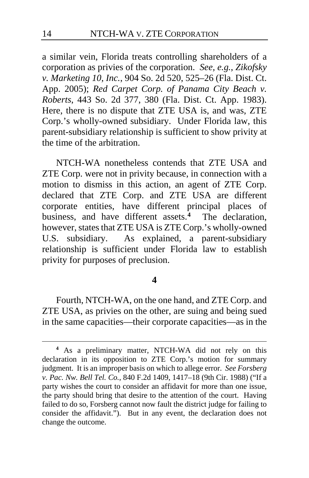a similar vein, Florida treats controlling shareholders of a corporation as privies of the corporation. *See, e.g.*, *Zikofsky v. Marketing 10, Inc.*, 904 So. 2d 520, 525–26 (Fla. Dist. Ct. App. 2005); *Red Carpet Corp. of Panama City Beach v. Roberts*, 443 So. 2d 377, 380 (Fla. Dist. Ct. App. 1983). Here, there is no dispute that ZTE USA is, and was, ZTE Corp.'s wholly-owned subsidiary. Under Florida law, this parent-subsidiary relationship is sufficient to show privity at the time of the arbitration.

NTCH-WA nonetheless contends that ZTE USA and ZTE Corp. were not in privity because, in connection with a motion to dismiss in this action, an agent of ZTE Corp. declared that ZTE Corp. and ZTE USA are different corporate entities, have different principal places of business, and have different assets.**[4](#page-13-0)** The declaration, however, states that ZTE USA is ZTE Corp.'s wholly-owned<br>U.S. subsidiary. As explained, a parent-subsidiary As explained, a parent-subsidiary relationship is sufficient under Florida law to establish privity for purposes of preclusion.

### **4**

Fourth, NTCH-WA, on the one hand, and ZTE Corp. and ZTE USA, as privies on the other, are suing and being sued in the same capacities—their corporate capacities—as in the

<span id="page-13-0"></span>**<sup>4</sup>** As a preliminary matter, NTCH-WA did not rely on this declaration in its opposition to ZTE Corp.'s motion for summary judgment. It is an improper basis on which to allege error. *See Forsberg v. Pac. Nw. Bell Tel. Co.*, 840 F.2d 1409, 1417–18 (9th Cir. 1988) ("If a party wishes the court to consider an affidavit for more than one issue, the party should bring that desire to the attention of the court. Having failed to do so, Forsberg cannot now fault the district judge for failing to consider the affidavit."). But in any event, the declaration does not change the outcome.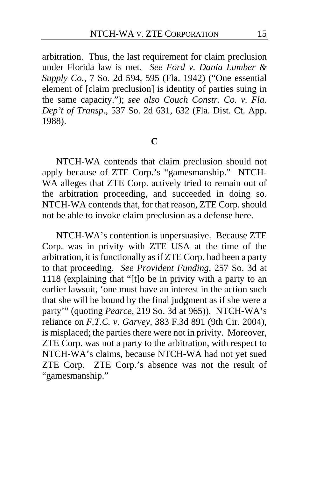arbitration. Thus, the last requirement for claim preclusion under Florida law is met. *See Ford v. Dania Lumber & Supply Co.*, 7 So. 2d 594, 595 (Fla. 1942) ("One essential element of [claim preclusion] is identity of parties suing in the same capacity."); *see also Couch Constr. Co. v. Fla. Dep't of Transp.*, 537 So. 2d 631, 632 (Fla. Dist. Ct. App. 1988).

# **C**

NTCH-WA contends that claim preclusion should not apply because of ZTE Corp.'s "gamesmanship." NTCH-WA alleges that ZTE Corp. actively tried to remain out of the arbitration proceeding, and succeeded in doing so. NTCH-WA contends that, for that reason, ZTE Corp. should not be able to invoke claim preclusion as a defense here.

NTCH-WA's contention is unpersuasive. Because ZTE Corp. was in privity with ZTE USA at the time of the arbitration, it is functionally as if ZTE Corp. had been a party to that proceeding. *See Provident Funding*, 257 So. 3d at 1118 (explaining that "[t]o be in privity with a party to an earlier lawsuit, 'one must have an interest in the action such that she will be bound by the final judgment as if she were a party'" (quoting *Pearce*, 219 So. 3d at 965)). NTCH-WA's reliance on *F.T.C. v. Garvey*, 383 F.3d 891 (9th Cir. 2004), is misplaced; the parties there were not in privity. Moreover, ZTE Corp. was not a party to the arbitration, with respect to NTCH-WA's claims, because NTCH-WA had not yet sued ZTE Corp. ZTE Corp.'s absence was not the result of "gamesmanship."